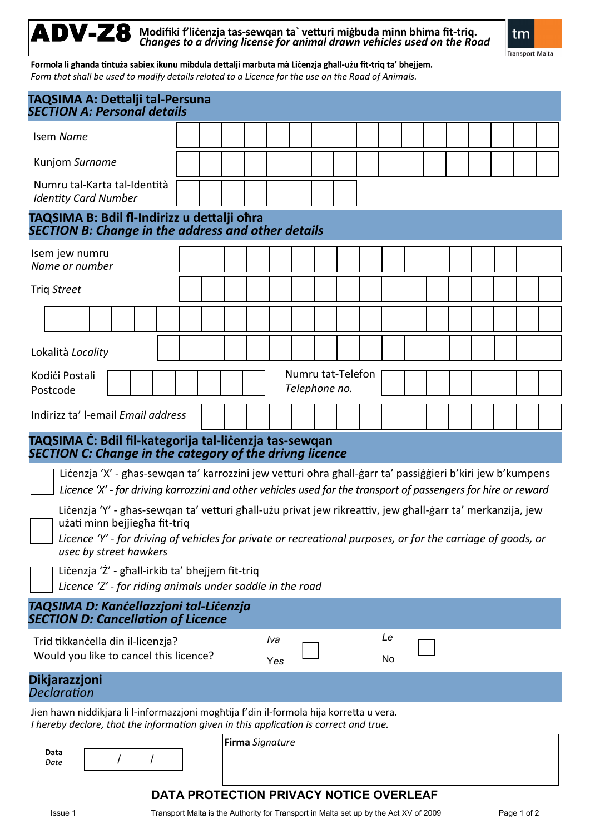ADV-Z8 **Modifiki f'liċenzja tas-sewqan ta` vetturi miġbuda minn bhima fit-triq.** *Changes to a driving license for animal drawn vehicles used on the Road*



**Transport Malta** 

Formola li għanda tintuża sabiex ikunu mibdula dettalji marbuta mà Liċenzja għall-użu fit-triq ta' bhejjem. *Form that shall be used to modify details related to a Licence for the use on the Road of Animals.*

| TAQSIMA A: Dettalji tal-Persuna<br><b>SECTION A: Personal details</b>                                                                                                                                                                                                                 |                                    |  |  |  |            |  |  |  |  |          |  |  |  |  |  |  |
|---------------------------------------------------------------------------------------------------------------------------------------------------------------------------------------------------------------------------------------------------------------------------------------|------------------------------------|--|--|--|------------|--|--|--|--|----------|--|--|--|--|--|--|
| Isem Name                                                                                                                                                                                                                                                                             |                                    |  |  |  |            |  |  |  |  |          |  |  |  |  |  |  |
| Kunjom Surname                                                                                                                                                                                                                                                                        |                                    |  |  |  |            |  |  |  |  |          |  |  |  |  |  |  |
| Numru tal-Karta tal-Identità<br><b>Identity Card Number</b>                                                                                                                                                                                                                           |                                    |  |  |  |            |  |  |  |  |          |  |  |  |  |  |  |
| TAQSIMA B: Bdil fl-Indirizz u dettalji ohra<br><b>SECTION B: Change in the address and other details</b>                                                                                                                                                                              |                                    |  |  |  |            |  |  |  |  |          |  |  |  |  |  |  |
| Isem jew numru<br>Name or number                                                                                                                                                                                                                                                      |                                    |  |  |  |            |  |  |  |  |          |  |  |  |  |  |  |
| Triq Street                                                                                                                                                                                                                                                                           |                                    |  |  |  |            |  |  |  |  |          |  |  |  |  |  |  |
|                                                                                                                                                                                                                                                                                       |                                    |  |  |  |            |  |  |  |  |          |  |  |  |  |  |  |
| Lokalità Locality                                                                                                                                                                                                                                                                     |                                    |  |  |  |            |  |  |  |  |          |  |  |  |  |  |  |
| Kodići Postali<br>Postcode                                                                                                                                                                                                                                                            | Numru tat-Telefon<br>Telephone no. |  |  |  |            |  |  |  |  |          |  |  |  |  |  |  |
| Indirizz ta' I-email Email address                                                                                                                                                                                                                                                    |                                    |  |  |  |            |  |  |  |  |          |  |  |  |  |  |  |
| TAQSIMA C: Bdil fil-kategorija tal-licenzja tas-sewqan<br><b>SECTION C: Change in the category of the drivng licence</b>                                                                                                                                                              |                                    |  |  |  |            |  |  |  |  |          |  |  |  |  |  |  |
| Licenzja 'X' - ghas-sewqan ta' karrozzini jew vetturi ohra ghall-garr ta' passiggieri b'kiri jew b'kumpens<br>Licence 'X' - for driving karrozzini and other vehicles used for the transport of passengers for hire or reward                                                         |                                    |  |  |  |            |  |  |  |  |          |  |  |  |  |  |  |
| Licenzja 'Y' - għas-sewqan ta' vetturi għall-użu privat jew rikreattiv, jew għall-ġarr ta' merkanzija, jew<br>użati minn bejjiegha fit-triq<br>Licence 'Y' - for driving of vehicles for private or recreational purposes, or for the carriage of goods, or<br>usec by street hawkers |                                    |  |  |  |            |  |  |  |  |          |  |  |  |  |  |  |
| Licenzja 'Ż' - ghall-irkib ta' bhejjem fit-triq<br>Licence 'Z' - for riding animals under saddle in the road                                                                                                                                                                          |                                    |  |  |  |            |  |  |  |  |          |  |  |  |  |  |  |
| TAQSIMA D: Kancellazzjoni tal-Licenzja<br><b>SECTION D: Cancellation of Licence</b>                                                                                                                                                                                                   |                                    |  |  |  |            |  |  |  |  |          |  |  |  |  |  |  |
| Trid tikkancella din il-licenzja?<br>Would you like to cancel this licence?                                                                                                                                                                                                           |                                    |  |  |  | Iva<br>Yes |  |  |  |  | Le<br>No |  |  |  |  |  |  |
| <b>Dikjarazzjoni</b><br><b>Declaration</b>                                                                                                                                                                                                                                            |                                    |  |  |  |            |  |  |  |  |          |  |  |  |  |  |  |
| Jien hawn niddikjara li l-informazzjoni mogħtija f'din il-formola hija korretta u vera.<br>I hereby declare, that the information given in this application is correct and true.                                                                                                      |                                    |  |  |  |            |  |  |  |  |          |  |  |  |  |  |  |
| Data<br>Date                                                                                                                                                                                                                                                                          | Firma Signature                    |  |  |  |            |  |  |  |  |          |  |  |  |  |  |  |